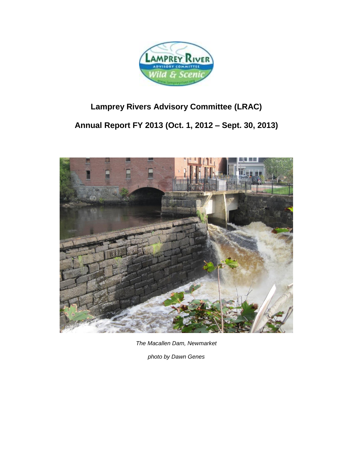

# **Lamprey Rivers Advisory Committee (LRAC)**

**Annual Report FY 2013 (Oct. 1, 2012 – Sept. 30, 2013)**



*The Macallen Dam, Newmarket*

*photo by Dawn Genes*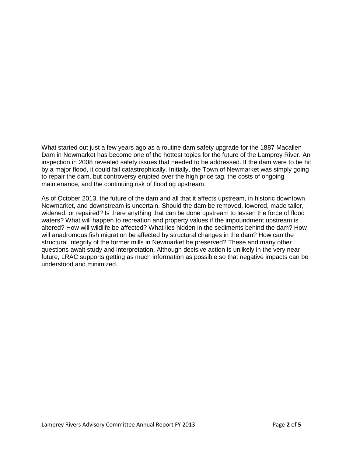What started out just a few years ago as a routine dam safety upgrade for the 1887 Macallen Dam in Newmarket has become one of the hottest topics for the future of the Lamprey River. An inspection in 2008 revealed safety issues that needed to be addressed. If the dam were to be hit by a major flood, it could fail catastrophically. Initially, the Town of Newmarket was simply going to repair the dam, but controversy erupted over the high price tag, the costs of ongoing maintenance, and the continuing risk of flooding upstream.

As of October 2013, the future of the dam and all that it affects upstream, in historic downtown Newmarket, and downstream is uncertain. Should the dam be removed, lowered, made taller, widened, or repaired? Is there anything that can be done upstream to lessen the force of flood waters? What will happen to recreation and property values if the impoundment upstream is altered? How will wildlife be affected? What lies hidden in the sediments behind the dam? How will anadromous fish migration be affected by structural changes in the dam? How can the structural integrity of the former mills in Newmarket be preserved? These and many other questions await study and interpretation. Although decisive action is unlikely in the very near future, LRAC supports getting as much information as possible so that negative impacts can be understood and minimized.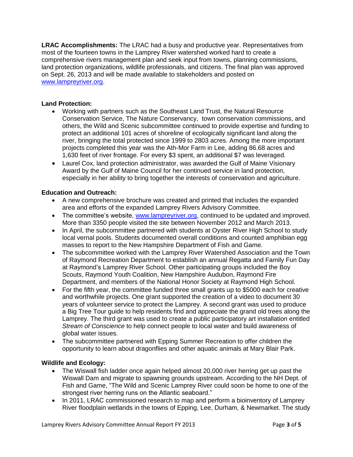**LRAC Accomplishments:** The LRAC had a busy and productive year. Representatives from most of the fourteen towns in the Lamprey River watershed worked hard to create a comprehensive rivers management plan and seek input from towns, planning commissions, land protection organizations, wildlife professionals, and citizens. The final plan was approved on Sept. 26, 2013 and will be made available to stakeholders and posted on [www.lampreyriver.org.](www.lampreyriver.org)

## **Land Protection:**

- Working with partners such as the Southeast Land Trust, the Natural Resource Conservation Service, The Nature Conservancy, town conservation commissions, and others, the Wild and Scenic subcommittee continued to provide expertise and funding to protect an additional 101 acres of shoreline of ecologically significant land along the river, bringing the total protected since 1999 to 2803 acres. Among the more important projects completed this year was the Ath-Mor Farm in Lee, adding 86.68 acres and 1,630 feet of river frontage. For every \$3 spent, an additional \$7 was leveraged.
- Laurel Cox, land protection administrator, was awarded the Gulf of Maine Visionary Award by the Gulf of Maine Council for her continued service in land protection, especially in her ability to bring together the interests of conservation and agriculture.

## **Education and Outreach:**

- A new comprehensive brochure was created and printed that includes the expanded area and efforts of the expanded Lamprey Rivers Advisory Committee.
- The committee's website, [www.lampreyriver.org,](http://www.lampreyriver.org/) continued to be updated and improved. More than 3350 people visited the site between November 2012 and March 2013.
- In April, the subcommittee partnered with students at Oyster River High School to study local vernal pools. Students documented overall conditions and counted amphibian egg masses to report to the New Hampshire Department of Fish and Game.
- The subcommittee worked with the Lamprey River Watershed Association and the Town of Raymond Recreation Department to establish an annual Regatta and Family Fun Day at Raymond's Lamprey River School. Other participating groups included the Boy Scouts, Raymond Youth Coalition, New Hampshire Audubon, Raymond Fire Department, and members of the National Honor Society at Raymond High School.
- For the fifth year, the committee funded three small grants up to \$5000 each for creative and worthwhile projects. One grant supported the creation of a video to document 30 years of volunteer service to protect the Lamprey. A second grant was used to produce a Big Tree Tour guide to help residents find and appreciate the grand old trees along the Lamprey. The third grant was used to create a public participatory art installation entitled *Stream of Conscience* to help connect people to local water and build awareness of global water issues.
- The subcommittee partnered with Epping Summer Recreation to offer children the opportunity to learn about dragonflies and other aquatic animals at Mary Blair Park.

## **Wildlife and Ecology:**

- The Wiswall fish ladder once again helped almost 20,000 river herring get up past the Wiswall Dam and migrate to spawning grounds upstream. According to the NH Dept. of Fish and Game, "The Wild and Scenic Lamprey River could soon be home to one of the strongest river herring runs on the Atlantic seaboard."
- In 2011, LRAC commissioned research to map and perform a bioinventory of Lamprey River floodplain wetlands in the towns of Epping, Lee, Durham, & Newmarket. The study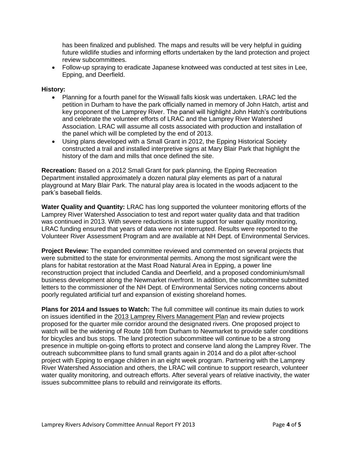has been finalized and published. The maps and results will be very helpful in guiding future wildlife studies and informing efforts undertaken by the land protection and project review subcommittees.

 Follow-up spraying to eradicate Japanese knotweed was conducted at test sites in Lee, Epping, and Deerfield.

#### **History:**

- Planning for a fourth panel for the Wiswall falls kiosk was undertaken. LRAC led the petition in Durham to have the park officially named in memory of John Hatch, artist and key proponent of the Lamprey River. The panel will highlight John Hatch's contributions and celebrate the volunteer efforts of LRAC and the Lamprey River Watershed Association. LRAC will assume all costs associated with production and installation of the panel which will be completed by the end of 2013.
- Using plans developed with a Small Grant in 2012, the Epping Historical Society constructed a trail and installed interpretive signs at Mary Blair Park that highlight the history of the dam and mills that once defined the site.

**Recreation:** Based on a 2012 Small Grant for park planning, the Epping Recreation Department installed approximately a dozen natural play elements as part of a natural playground at Mary Blair Park. The natural play area is located in the woods adjacent to the park's baseball fields.

**Water Quality and Quantity:** LRAC has long supported the volunteer monitoring efforts of the Lamprey River Watershed Association to test and report water quality data and that tradition was continued in 2013. With severe reductions in state support for water quality monitoring, LRAC funding ensured that years of data were not interrupted. Results were reported to the Volunteer River Assessment Program and are available at NH Dept. of Environmental Services.

**Project Review:** The expanded committee reviewed and commented on several projects that were submitted to the state for environmental permits. Among the most significant were the plans for habitat restoration at the Mast Road Natural Area in Epping, a power line reconstruction project that included Candia and Deerfield, and a proposed condominium/small business development along the Newmarket riverfront. In addition, the subcommittee submitted letters to the commissioner of the NH Dept. of Environmental Services noting concerns about poorly regulated artificial turf and expansion of existing shoreland homes.

**Plans for 2014 and Issues to Watch:** The full committee will continue its main duties to work on issues identified in the 2013 Lamprey Rivers Management Plan and review projects proposed for the quarter mile corridor around the designated rivers. One proposed project to watch will be the widening of Route 108 from Durham to Newmarket to provide safer conditions for bicycles and bus stops. The land protection subcommittee will continue to be a strong presence in multiple on-going efforts to protect and conserve land along the Lamprey River. The outreach subcommittee plans to fund small grants again in 2014 and do a pilot after-school project with Epping to engage children in an eight week program. Partnering with the Lamprey River Watershed Association and others, the LRAC will continue to support research, volunteer water quality monitoring, and outreach efforts. After several years of relative inactivity, the water issues subcommittee plans to rebuild and reinvigorate its efforts.